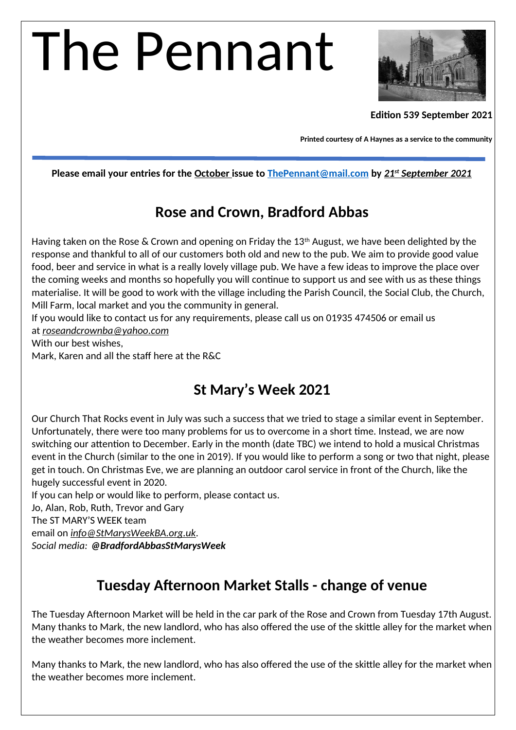# The Pennant



#### **Edition 539 September 2021**

**Printed courtesy of A Haynes as a service to the community**

**Please email your entries for the October issue to [ThePennant@mail.com](mailto:ThePennant@mail.com) by** *21st September 2021*

#### **Rose and Crown, Bradford Abbas**

Having taken on the Rose & Crown and opening on Friday the 13<sup>th</sup> August, we have been delighted by the response and thankful to all of our customers both old and new to the pub. We aim to provide good value food, beer and service in what is a really lovely village pub. We have a few ideas to improve the place over the coming weeks and months so hopefully you will continue to support us and see with us as these things materialise. It will be good to work with the village including the Parish Council, the Social Club, the Church, Mill Farm, local market and you the community in general.

If you would like to contact us for any requirements, please call us on 01935 474506 or email us at *roseandcrownba@yahoo.com*

With our best wishes,

Mark, Karen and all the staff here at the R&C

#### **St Mary's Week 2021**

Our Church That Rocks event in July was such a success that we tried to stage a similar event in September. Unfortunately, there were too many problems for us to overcome in a short time. Instead, we are now switching our attention to December. Early in the month (date TBC) we intend to hold a musical Christmas event in the Church (similar to the one in 2019). If you would like to perform a song or two that night, please get in touch. On Christmas Eve, we are planning an outdoor carol service in front of the Church, like the hugely successful event in 2020.

If you can help or would like to perform, please contact us.

Jo, Alan, Rob, Ruth, Trevor and Gary

The ST MARY'S WEEK team

email on *[info@StMarysWeekBA.org.uk](mailto:info@StMarysWeekBA.org.uk).*

*Social media: @BradfordAbbasStMarysWeek*

#### **Tuesday Afternoon Market Stalls - change of venue**

The Tuesday Afternoon Market will be held in the car park of the Rose and Crown from Tuesday 17th August. Many thanks to Mark, the new landlord, who has also offered the use of the skittle alley for the market when the weather becomes more inclement.

Many thanks to Mark, the new landlord, who has also offered the use of the skittle alley for the market when the weather becomes more inclement.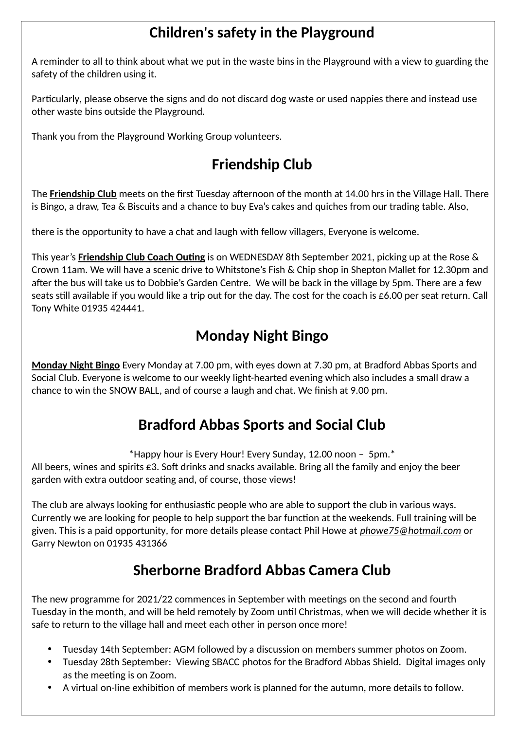### **Children's safety in the Playground**

A reminder to all to think about what we put in the waste bins in the Playground with a view to guarding the safety of the children using it.

Particularly, please observe the signs and do not discard dog waste or used nappies there and instead use other waste bins outside the Playground.

Thank you from the Playground Working Group volunteers.

## **Friendship Club**

The **Friendship Club** meets on the first Tuesday afternoon of the month at 14.00 hrs in the Village Hall. There is Bingo, a draw, Tea & Biscuits and a chance to buy Eva's cakes and quiches from our trading table. Also,

there is the opportunity to have a chat and laugh with fellow villagers, Everyone is welcome.

This year's **Friendship Club Coach Outing** is on WEDNESDAY 8th September 2021, picking up at the Rose & Crown 11am. We will have a scenic drive to Whitstone's Fish & Chip shop in Shepton Mallet for 12.30pm and after the bus will take us to Dobbie's Garden Centre. We will be back in the village by 5pm. There are a few seats still available if you would like a trip out for the day. The cost for the coach is £6.00 per seat return. Call Tony White 01935 424441.

### **Monday Night Bingo**

**Monday Night Bingo** Every Monday at 7.00 pm, with eyes down at 7.30 pm, at Bradford Abbas Sports and Social Club. Everyone is welcome to our weekly light-hearted evening which also includes a small draw a chance to win the SNOW BALL, and of course a laugh and chat. We finish at 9.00 pm.

### **Bradford Abbas Sports and Social Club**

\*Happy hour is Every Hour! Every Sunday, 12.00 noon – 5pm.\*

All beers, wines and spirits  $\epsilon$ 3. Soft drinks and snacks available. Bring all the family and enjoy the beer garden with extra outdoor seating and, of course, those views!

The club are always looking for enthusiastic people who are able to support the club in various ways. Currently we are looking for people to help support the bar function at the weekends. Full training will be given. This is a paid opportunity, for more details please contact Phil Howe at *[phowe75@hotmail.com](mailto:phowe75@hotmail.com)* or Garry Newton on 01935 431366

### **Sherborne Bradford Abbas Camera Club**

The new programme for 2021/22 commences in September with meetings on the second and fourth Tuesday in the month, and will be held remotely by Zoom until Christmas, when we will decide whether it is safe to return to the village hall and meet each other in person once more!

- Tuesday 14th September: AGM followed by a discussion on members summer photos on Zoom.
- Tuesday 28th September: Viewing SBACC photos for the Bradford Abbas Shield. Digital images only as the meeting is on Zoom.
- A virtual on-line exhibition of members work is planned for the autumn, more details to follow.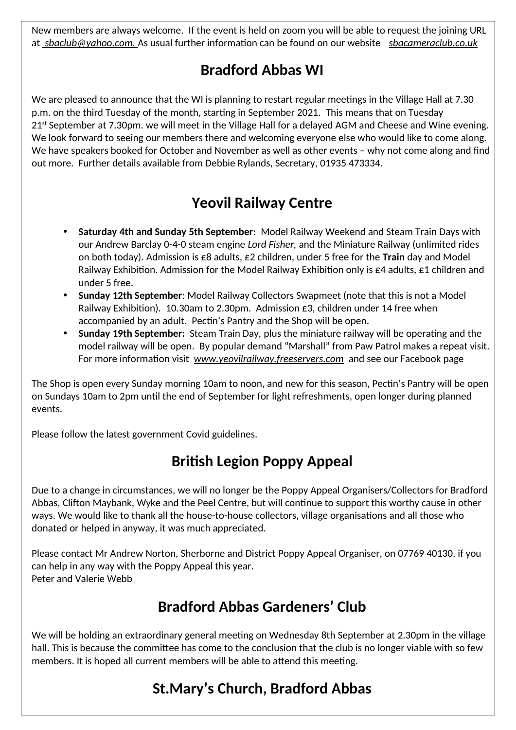New members are always welcome. If the event is held on zoom you will be able to request the joining URL at *sbaclub@yahoo.com.* As usual further information can be found on our website *[sbacameraclub.co.uk](http://sbacameraclub.co.uk/)*

#### **Bradford Abbas WI**

We are pleased to announce that the WI is planning to restart regular meetings in the Village Hall at 7.30 p.m. on the third Tuesday of the month, starting in September 2021. This means that on Tuesday 21<sup>st</sup> September at 7.30pm. we will meet in the Village Hall for a delayed AGM and Cheese and Wine evening. We look forward to seeing our members there and welcoming everyone else who would like to come along. We have speakers booked for October and November as well as other events – why not come along and find out more. Further details available from Debbie Rylands, Secretary, 01935 473334.

### **Yeovil Railway Centre**

- **Saturday 4th and Sunday 5th September**: Model Railway Weekend and Steam Train Days with our Andrew Barclay 0-4-0 steam engine *Lord Fisher,* and the Miniature Railway (unlimited rides on both today). Admission is £8 adults, £2 children, under 5 free for the **Train** day and Model Railway Exhibition. Admission for the Model Railway Exhibition only is  $\epsilon$ 4 adults,  $\epsilon$ 1 children and under 5 free.
- **Sunday 12th September**: Model Railway Collectors Swapmeet (note that this is not a Model Railway Exhibition). 10.30am to 2.30pm. Admission £3, children under 14 free when accompanied by an adult. Pectin's Pantry and the Shop will be open.
- **Sunday 19th September:** Steam Train Day*,* plus the miniature railway will be operating and the model railway will be open. By popular demand "Marshall" from Paw Patrol makes a repeat visit. For more information visit *[www.yeovilrailway.freeservers.com](http://www.yeovilrailway.freeservers.com/)* and see our Facebook page

The Shop is open every Sunday morning 10am to noon, and new for this season, Pectin's Pantry will be open on Sundays 10am to 2pm until the end of September for light refreshments, open longer during planned events.

Please follow the latest government Covid guidelines.

# **British Legion Poppy Appeal**

Due to a change in circumstances, we will no longer be the Poppy Appeal Organisers/Collectors for Bradford Abbas, Clifton Maybank, Wyke and the Peel Centre, but will continue to support this worthy cause in other ways. We would like to thank all the house-to-house collectors, village organisations and all those who donated or helped in anyway, it was much appreciated.

Please contact Mr Andrew Norton, Sherborne and District Poppy Appeal Organiser, on 07769 40130, if you can help in any way with the Poppy Appeal this year. Peter and Valerie Webb

# **Bradford Abbas Gardeners' Club**

We will be holding an extraordinary general meeting on Wednesday 8th September at 2.30pm in the village hall. This is because the committee has come to the conclusion that the club is no longer viable with so few members. It is hoped all current members will be able to attend this meeting.

# **St.Mary's Church, Bradford Abbas**